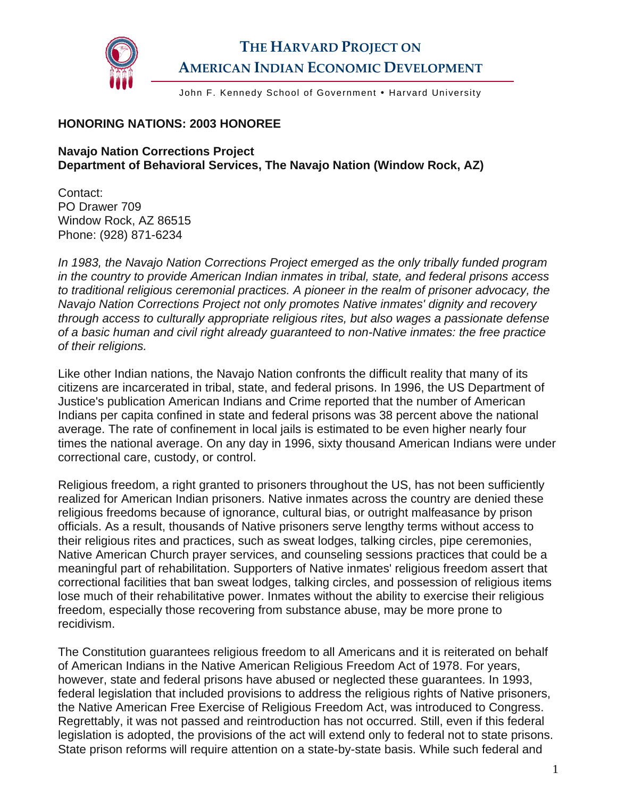

## **THE HARVARD PROJECT ON AMERICAN INDIAN ECONOMIC DEVELOPMENT**

John F. Kennedy School of Government . Harvard University

## **HONORING NATIONS: 2003 HONOREE**

## **Navajo Nation Corrections Project Department of Behavioral Services, The Navajo Nation (Window Rock, AZ)**

Contact: PO Drawer 709 Window Rock, AZ 86515 Phone: (928) 871-6234

*In 1983, the Navajo Nation Corrections Project emerged as the only tribally funded program in the country to provide American Indian inmates in tribal, state, and federal prisons access to traditional religious ceremonial practices. A pioneer in the realm of prisoner advocacy, the Navajo Nation Corrections Project not only promotes Native inmates' dignity and recovery through access to culturally appropriate religious rites, but also wages a passionate defense of a basic human and civil right already guaranteed to non-Native inmates: the free practice of their religions.* 

Like other Indian nations, the Navajo Nation confronts the difficult reality that many of its citizens are incarcerated in tribal, state, and federal prisons. In 1996, the US Department of Justice's publication American Indians and Crime reported that the number of American Indians per capita confined in state and federal prisons was 38 percent above the national average. The rate of confinement in local jails is estimated to be even higher nearly four times the national average. On any day in 1996, sixty thousand American Indians were under correctional care, custody, or control.

Religious freedom, a right granted to prisoners throughout the US, has not been sufficiently realized for American Indian prisoners. Native inmates across the country are denied these religious freedoms because of ignorance, cultural bias, or outright malfeasance by prison officials. As a result, thousands of Native prisoners serve lengthy terms without access to their religious rites and practices, such as sweat lodges, talking circles, pipe ceremonies, Native American Church prayer services, and counseling sessions practices that could be a meaningful part of rehabilitation. Supporters of Native inmates' religious freedom assert that correctional facilities that ban sweat lodges, talking circles, and possession of religious items lose much of their rehabilitative power. Inmates without the ability to exercise their religious freedom, especially those recovering from substance abuse, may be more prone to recidivism.

The Constitution guarantees religious freedom to all Americans and it is reiterated on behalf of American Indians in the Native American Religious Freedom Act of 1978. For years, however, state and federal prisons have abused or neglected these guarantees. In 1993, federal legislation that included provisions to address the religious rights of Native prisoners, the Native American Free Exercise of Religious Freedom Act, was introduced to Congress. Regrettably, it was not passed and reintroduction has not occurred. Still, even if this federal legislation is adopted, the provisions of the act will extend only to federal not to state prisons. State prison reforms will require attention on a state-by-state basis. While such federal and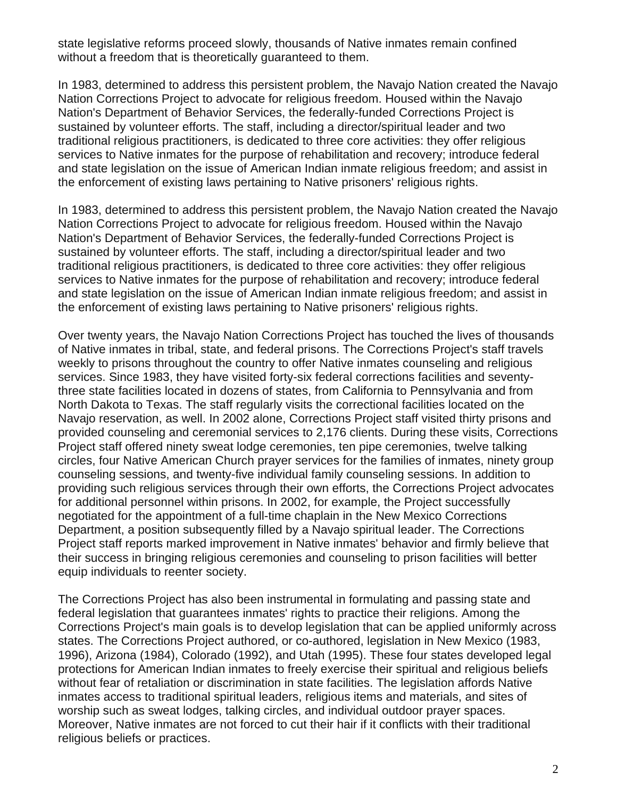state legislative reforms proceed slowly, thousands of Native inmates remain confined without a freedom that is theoretically guaranteed to them.

In 1983, determined to address this persistent problem, the Navajo Nation created the Navajo Nation Corrections Project to advocate for religious freedom. Housed within the Navajo Nation's Department of Behavior Services, the federally-funded Corrections Project is sustained by volunteer efforts. The staff, including a director/spiritual leader and two traditional religious practitioners, is dedicated to three core activities: they offer religious services to Native inmates for the purpose of rehabilitation and recovery; introduce federal and state legislation on the issue of American Indian inmate religious freedom; and assist in the enforcement of existing laws pertaining to Native prisoners' religious rights.

In 1983, determined to address this persistent problem, the Navajo Nation created the Navajo Nation Corrections Project to advocate for religious freedom. Housed within the Navajo Nation's Department of Behavior Services, the federally-funded Corrections Project is sustained by volunteer efforts. The staff, including a director/spiritual leader and two traditional religious practitioners, is dedicated to three core activities: they offer religious services to Native inmates for the purpose of rehabilitation and recovery; introduce federal and state legislation on the issue of American Indian inmate religious freedom; and assist in the enforcement of existing laws pertaining to Native prisoners' religious rights.

Over twenty years, the Navajo Nation Corrections Project has touched the lives of thousands of Native inmates in tribal, state, and federal prisons. The Corrections Project's staff travels weekly to prisons throughout the country to offer Native inmates counseling and religious services. Since 1983, they have visited forty-six federal corrections facilities and seventythree state facilities located in dozens of states, from California to Pennsylvania and from North Dakota to Texas. The staff regularly visits the correctional facilities located on the Navajo reservation, as well. In 2002 alone, Corrections Project staff visited thirty prisons and provided counseling and ceremonial services to 2,176 clients. During these visits, Corrections Project staff offered ninety sweat lodge ceremonies, ten pipe ceremonies, twelve talking circles, four Native American Church prayer services for the families of inmates, ninety group counseling sessions, and twenty-five individual family counseling sessions. In addition to providing such religious services through their own efforts, the Corrections Project advocates for additional personnel within prisons. In 2002, for example, the Project successfully negotiated for the appointment of a full-time chaplain in the New Mexico Corrections Department, a position subsequently filled by a Navajo spiritual leader. The Corrections Project staff reports marked improvement in Native inmates' behavior and firmly believe that their success in bringing religious ceremonies and counseling to prison facilities will better equip individuals to reenter society.

The Corrections Project has also been instrumental in formulating and passing state and federal legislation that guarantees inmates' rights to practice their religions. Among the Corrections Project's main goals is to develop legislation that can be applied uniformly across states. The Corrections Project authored, or co-authored, legislation in New Mexico (1983, 1996), Arizona (1984), Colorado (1992), and Utah (1995). These four states developed legal protections for American Indian inmates to freely exercise their spiritual and religious beliefs without fear of retaliation or discrimination in state facilities. The legislation affords Native inmates access to traditional spiritual leaders, religious items and materials, and sites of worship such as sweat lodges, talking circles, and individual outdoor prayer spaces. Moreover, Native inmates are not forced to cut their hair if it conflicts with their traditional religious beliefs or practices.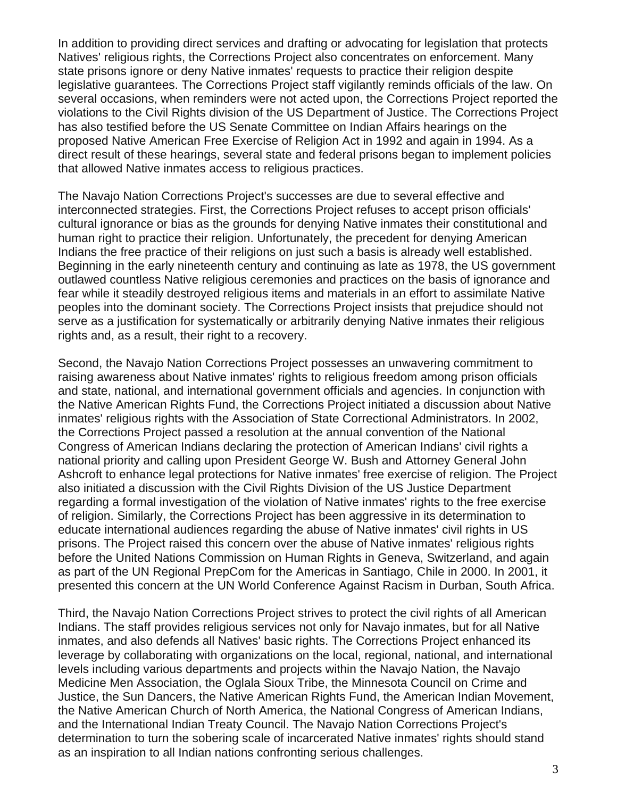In addition to providing direct services and drafting or advocating for legislation that protects Natives' religious rights, the Corrections Project also concentrates on enforcement. Many state prisons ignore or deny Native inmates' requests to practice their religion despite legislative guarantees. The Corrections Project staff vigilantly reminds officials of the law. On several occasions, when reminders were not acted upon, the Corrections Project reported the violations to the Civil Rights division of the US Department of Justice. The Corrections Project has also testified before the US Senate Committee on Indian Affairs hearings on the proposed Native American Free Exercise of Religion Act in 1992 and again in 1994. As a direct result of these hearings, several state and federal prisons began to implement policies that allowed Native inmates access to religious practices.

The Navajo Nation Corrections Project's successes are due to several effective and interconnected strategies. First, the Corrections Project refuses to accept prison officials' cultural ignorance or bias as the grounds for denying Native inmates their constitutional and human right to practice their religion. Unfortunately, the precedent for denying American Indians the free practice of their religions on just such a basis is already well established. Beginning in the early nineteenth century and continuing as late as 1978, the US government outlawed countless Native religious ceremonies and practices on the basis of ignorance and fear while it steadily destroyed religious items and materials in an effort to assimilate Native peoples into the dominant society. The Corrections Project insists that prejudice should not serve as a justification for systematically or arbitrarily denying Native inmates their religious rights and, as a result, their right to a recovery.

Second, the Navajo Nation Corrections Project possesses an unwavering commitment to raising awareness about Native inmates' rights to religious freedom among prison officials and state, national, and international government officials and agencies. In conjunction with the Native American Rights Fund, the Corrections Project initiated a discussion about Native inmates' religious rights with the Association of State Correctional Administrators. In 2002, the Corrections Project passed a resolution at the annual convention of the National Congress of American Indians declaring the protection of American Indians' civil rights a national priority and calling upon President George W. Bush and Attorney General John Ashcroft to enhance legal protections for Native inmates' free exercise of religion. The Project also initiated a discussion with the Civil Rights Division of the US Justice Department regarding a formal investigation of the violation of Native inmates' rights to the free exercise of religion. Similarly, the Corrections Project has been aggressive in its determination to educate international audiences regarding the abuse of Native inmates' civil rights in US prisons. The Project raised this concern over the abuse of Native inmates' religious rights before the United Nations Commission on Human Rights in Geneva, Switzerland, and again as part of the UN Regional PrepCom for the Americas in Santiago, Chile in 2000. In 2001, it presented this concern at the UN World Conference Against Racism in Durban, South Africa.

Third, the Navajo Nation Corrections Project strives to protect the civil rights of all American Indians. The staff provides religious services not only for Navajo inmates, but for all Native inmates, and also defends all Natives' basic rights. The Corrections Project enhanced its leverage by collaborating with organizations on the local, regional, national, and international levels including various departments and projects within the Navajo Nation, the Navajo Medicine Men Association, the Oglala Sioux Tribe, the Minnesota Council on Crime and Justice, the Sun Dancers, the Native American Rights Fund, the American Indian Movement, the Native American Church of North America, the National Congress of American Indians, and the International Indian Treaty Council. The Navajo Nation Corrections Project's determination to turn the sobering scale of incarcerated Native inmates' rights should stand as an inspiration to all Indian nations confronting serious challenges.